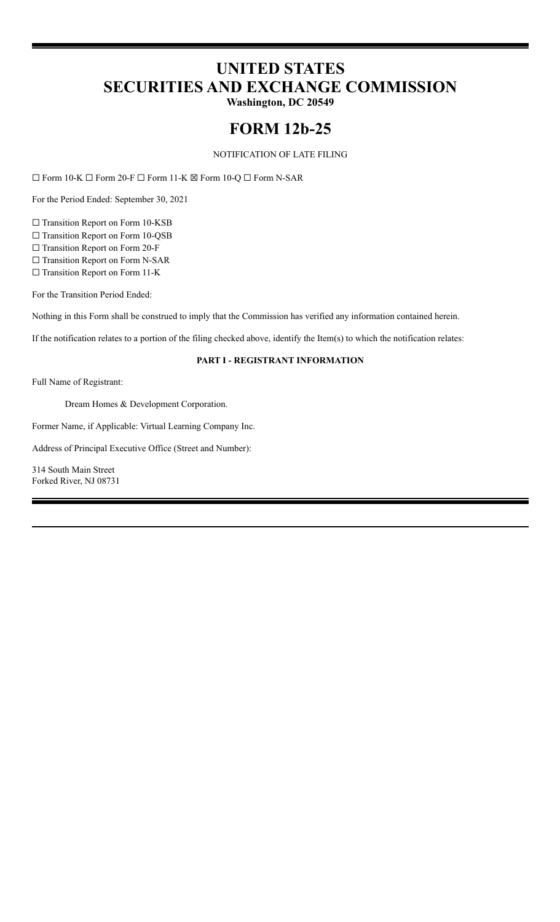# **UNITED STATES SECURITIES AND EXCHANGE COMMISSION**

**Washington, DC 20549**

## **FORM 12b-25**

NOTIFICATION OF LATE FILING

☐ Form 10-K ☐ Form 20-F ☐ Form 11-K ☒ Form 10-Q ☐ Form N-SAR

For the Period Ended: September 30, 2021

□ Transition Report on Form 10-KSB

□ Transition Report on Form 10-QSB

☐ Transition Report on Form 20-F

☐ Transition Report on Form N-SAR

☐ Transition Report on Form 11-K

For the Transition Period Ended:

Nothing in this Form shall be construed to imply that the Commission has verified any information contained herein.

If the notification relates to a portion of the filing checked above, identify the Item(s) to which the notification relates:

## **PART I - REGISTRANT INFORMATION**

Full Name of Registrant:

Dream Homes & Development Corporation.

Former Name, if Applicable: Virtual Learning Company Inc.

Address of Principal Executive Office (Street and Number):

314 South Main Street Forked River, NJ 08731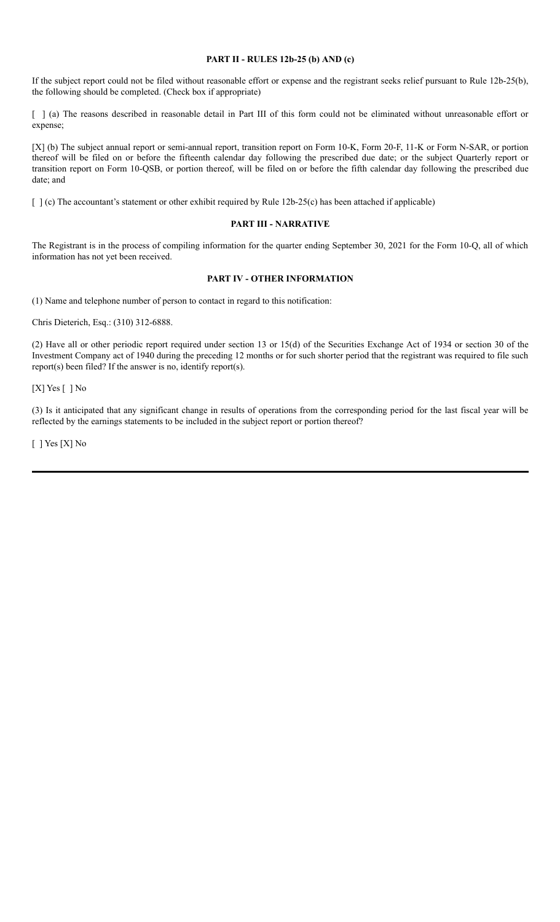#### **PART II - RULES 12b-25 (b) AND (c)**

If the subject report could not be filed without reasonable effort or expense and the registrant seeks relief pursuant to Rule 12b-25(b), the following should be completed. (Check box if appropriate)

[ ] (a) The reasons described in reasonable detail in Part III of this form could not be eliminated without unreasonable effort or expense;

[X] (b) The subject annual report or semi-annual report, transition report on Form 10-K, Form 20-F, 11-K or Form N-SAR, or portion thereof will be filed on or before the fifteenth calendar day following the prescribed due date; or the subject Quarterly report or transition report on Form 10-QSB, or portion thereof, will be filed on or before the fifth calendar day following the prescribed due date; and

[ ] (c) The accountant's statement or other exhibit required by Rule 12b-25(c) has been attached if applicable)

#### **PART III - NARRATIVE**

The Registrant is in the process of compiling information for the quarter ending September 30, 2021 for the Form 10-Q, all of which information has not yet been received.

## **PART IV - OTHER INFORMATION**

(1) Name and telephone number of person to contact in regard to this notification:

Chris Dieterich, Esq.: (310) 312-6888.

(2) Have all or other periodic report required under section 13 or 15(d) of the Securities Exchange Act of 1934 or section 30 of the Investment Company act of 1940 during the preceding 12 months or for such shorter period that the registrant was required to file such report(s) been filed? If the answer is no, identify report(s).

[X] Yes [ ] No

(3) Is it anticipated that any significant change in results of operations from the corresponding period for the last fiscal year will be reflected by the earnings statements to be included in the subject report or portion thereof?

[ ] Yes [X] No